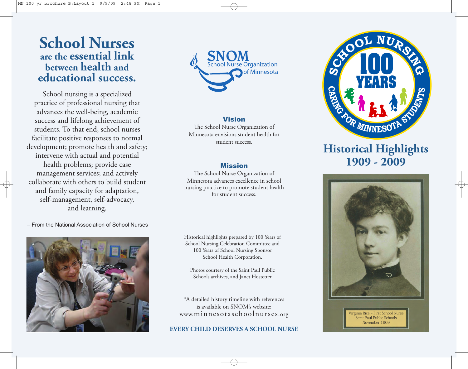### **School Nurses are the essential link between health and educational success.**

School nursing is a specialized practice of professional nursing that advances the well-being, academic success and lifelong achievement of students. To that end, school nurses facilitate positive responses to normal development; promote health and safety; intervene with actual and potential health problems; provide case management services; and actively collaborate with others to build student and family capacity for adaptation, self-management, self-advocacy, and learning.

School Nurse Organization SNOM Of Minnesota

### Vision

The School Nurse Organization of Minnesota envisions student health for student success.

### Mission

The School Nurse Organization of Minnesota advances excellence in school nursing practice to promote student health for student success.

– From the National Association of School Nurses



Historical highlights prepared by 100 Years of School Nursing Celebration Committee and 100 Years of School Nursing Sponsor School Health Corporation.

Photos courtesy of the Saint Paul Public Schools archives, and Janet Hostetter

\*A detailed history timeline with references is available on SNOM's website: www.minnesotaschoolnurses.org

#### **EVERY CHILD DESERVES A SCHOOL NURSE**



## **Historical Highlights 1909 - 2009**



irginia Rice – First School Nurs Saint Paul Public Schools November 1909